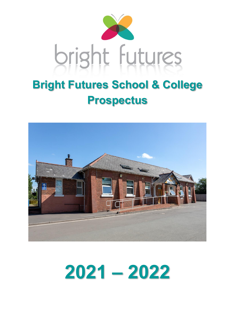

# **Bright Futures School & College Prospectus**



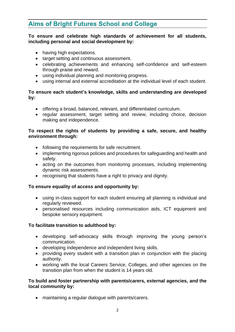# **Aims of Bright Futures School and College**

#### **To ensure and celebrate high standards of achievement for all students, including personal and social development by:**

- having high expectations.
- target setting and continuous assessment.
- celebrating achievements and enhancing self-confidence and self-esteem through praise and reward.
- using individual planning and monitoring progress.
- using internal and external accreditation at the individual level of each student.

#### **To ensure each student's knowledge, skills and understanding are developed by:**

- offering a broad, balanced, relevant, and differentiated curriculum.
- regular assessment, target setting and review, including choice, decision making and independence.

#### **To respect the rights of students by providing a safe, secure, and healthy environment through:**

- following the requirements for safe recruitment.
- implementing rigorous policies and procedures for safeguarding and health and safety.
- acting on the outcomes from monitoring processes, including implementing dynamic risk assessments.
- recognising that students have a right to privacy and dignity.

#### **To ensure equality of access and opportunity by:**

- using in-class support for each student ensuring all planning is individual and regularly reviewed.
- personalised resources including communication aids, ICT equipment and bespoke sensory equipment.

#### **To facilitate transition to adulthood by:**

- developing self-advocacy skills through improving the young person's communication.
- developing independence and independent living skills.
- providing every student with a transition plan in conjunction with the placing authority.
- working with the local Careers Service, Colleges, and other agencies on the transition plan from when the student is 14 years old.

#### **To build and foster partnership with parents/carers, external agencies, and the local community by:**

• maintaining a regular dialogue with parents/carers.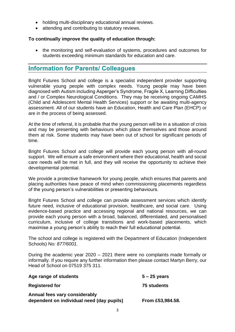- holding multi-disciplinary educational annual reviews.
- attending and contributing to statutory reviews.

#### **To continually improve the quality of education through:**

• the monitoring and self-evaluation of systems, procedures and outcomes for students exceeding minimum standards for education and care.

# **Information for Parents/ Colleagues**

Bright Futures School and college is a specialist independent provider supporting vulnerable young people with complex needs. Young people may have been diagnosed with Autism including Asperger's Syndrome, Fragile X, Learning Difficulties and / or Complex Neurological Conditions. They may be receiving ongoing CAMHS (Child and Adolescent Mental Health Services) support or be awaiting multi-agency assessment. All of our students have an Education, Health and Care Plan (EHCP) or are in the process of being assessed.

At the time of referral, it is probable that the young person will be in a situation of crisis and may be presenting with behaviours which place themselves and those around them at risk. Some students may have been out of school for significant periods of time.

Bright Futures School and college will provide each young person with all-round support. We will ensure a safe environment where their educational, health and social care needs will be met in full, and they will receive the opportunity to achieve their developmental potential.

We provide a protective framework for young people, which ensures that parents and placing authorities have peace of mind when commissioning placements regardless of the young person's vulnerabilities or presenting behaviours.

Bright Futures School and college can provide assessment services which identify future need, inclusive of educational provision, healthcare, and social care. Using evidence-based practice and accessing regional and national resources, we can provide each young person with a broad, balanced, differentiated, and personalised curriculum, inclusive of college transitions and work-based placements, which maximise a young person's ability to reach their full educational potential.

The school and college is registered with the Department of Education (Independent Schools) No*: 877/6001.*

During the academic year 2020 – 2021 there were no complaints made formally or informally. If you require any further information then please contact Martyn Berry, our Head of School on 07519 375 311.

| Age range of students                                                      | $5 - 25$ years   |
|----------------------------------------------------------------------------|------------------|
| <b>Registered for</b>                                                      | 75 students      |
| Annual fees vary considerably<br>dependent on individual need (day pupils) | From £53,984.58. |
|                                                                            |                  |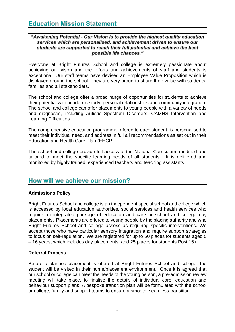# **Education Mission Statement**

#### "Awakening Potential - Our Vision is to provide the highest quality education services which are personalised, and achievement driven to ensure our students are supported to reach their full potential and achieve the best possible life chances."

Everyone at Bright Futures School and college is extremely passionate about achieving our vison and the efforts and achievements of staff and students is exceptional. Our staff teams have devised an Employee Value Proposition which is displayed around the school. They are very proud to share their value with students, families and all stakeholders.

The school and college offer a broad range of opportunities for students to achieve their potential with academic study, personal relationships and community integration. The school and college can offer placements to young people with a variety of needs and diagnoses, including Autistic Spectrum Disorders, CAMHS Intervention and Learning Difficulties.

The comprehensive education programme offered to each student, is personalised to meet their individual need, and address in full all recommendations as set out in their Education and Health Care Plan (EHCP).

The school and college provide full access to the National Curriculum, modified and tailored to meet the specific learning needs of all students. It is delivered and monitored by highly trained, experienced teachers and teaching assistants.

# How will we achieve our mission?

#### **Admissions Policy**

Bright Futures School and college is an independent special school and college which is accessed by local education authorities, social services and health services who require an integrated package of education and care or school and college day placements. Placements are offered to young people by the placing authority and who Bright Futures School and college assess as requiring specific interventions. We accept those who have particular sensory integration and require support strategies to focus on self-regulation. We are registered for up to 50 places for students aged 5 – 16 years, which includes day placements, and 25 places for students Post 16+.

#### **Referral Process**

Before a planned placement is offered at Bright Futures School and college, the student will be visited in their home/placement environment. Once it is agreed that our school or college can meet the needs of the young person, a pre-admission review meeting will take place, to finalise the details of individual care, education and behaviour support plans. A bespoke transition plan will be formulated with the school or college, family and support teams to ensure a smooth, seamless transition.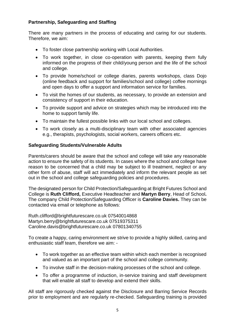#### **Partnership, Safeguarding and Staffing**

There are many partners in the process of educating and caring for our students. Therefore, we aim:

- To foster close partnership working with Local Authorities.
- To work together, in close co-operation with parents, keeping them fully informed on the progress of their child/young person and the life of the school and college.
- To provide home/school or college diaries, parents workshops, class Dojo (online feedback and support for families/school and college) coffee mornings and open days to offer a support and information service for families.
- To visit the homes of our students, as necessary, to provide an extension and consistency of support in their education.
- To provide support and advice on strategies which may be introduced into the home to support family life.
- To maintain the fullest possible links with our local school and colleges.
- To work closely as a multi-disciplinary team with other associated agencies e.g., therapists, psychologists, social workers, careers officers etc.

#### **Safeguarding Students/Vulnerable Adults**

Parents/carers should be aware that the school and college will take any reasonable action to ensure the safety of its students. In cases where the school and college have reason to be concerned that a child may be subject to ill treatment, neglect or any other form of abuse, staff will act immediately and inform the relevant people as set out in the school and college safeguarding policies and procedures.

The designated person for Child Protection/Safeguarding at Bright Futures School and College is **Ruth Clifford,** Executive Headteacher and **Martyn Berry**, Head of School**.**  The company Child Protection/Safeguarding Officer is **Caroline Davies.** They can be contacted via email or telephone as follows:

[Ruth.clifford@brightfuturescare.co.uk](mailto:Ruth.clifford@brightfuturescare.co.uk) 07540014868 [Martyn.berry@brightfuturescare.co.uk](mailto:Martyn.berry@brightfuturescare.co.uk) 07519375311 [Caroline.davis@brightfuturescare.co.uk](mailto:Caroline.davis@brightfuturescare.co.uk) 07801340755

To create a happy, caring environment we strive to provide a highly skilled, caring and enthusiastic staff team, therefore we aim: -

- To work together as an effective team within which each member is recognised and valued as an important part of the school and college community.
- To involve staff in the decision-making processes of the school and college.
- To offer a programme of induction, in-service training and staff development that will enable all staff to develop and extend their skills.

All staff are rigorously checked against the Disclosure and Barring Service Records prior to employment and are regularly re-checked. Safeguarding training is provided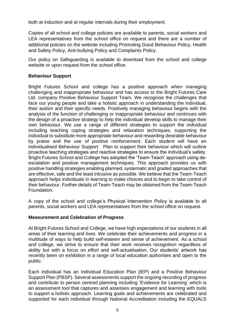both at induction and at regular intervals during their employment.

Copies of all school and college policies are available to parents, social workers and LEA representatives from the school office on request and there are a number of additional policies on the website including Promoting Good Behaviour Policy, Health and Safety Policy, Anti-bullying Policy and Complaints Policy.

Our policy on Safeguarding is available to download from the school and college website or upon request from the school office.

#### **Behaviour Support**

Bright Futures School and college has a positive approach when managing challenging and inappropriate behaviour and has access to the Bright Futures Care Ltd. company Positive Behaviour Support Team. We recognise the challenges that face our young people and take a holistic approach in understanding the individual, their autism and their specific needs. Positively managing behaviour begins with the analysis of the function of challenging or inappropriate behaviour and continues with the design of a proactive strategy to help the individual develop skills to manage their own behaviour. We use a range of different strategies to support the individual including teaching coping strategies and relaxation techniques, supporting the individual to substitute more appropriate behaviour and rewarding desirable behaviour by praise and the use of positive reinforcement. Each student will have an individualised Behaviour Support Plan to support their behaviour which will outline proactive teaching strategies and reactive strategies to ensure the individual's safety. Bright Futures School and College has adopted the 'Team-Teach' approach using deescalation and positive management techniques. This approach provides us with positive handling strategies enabling planned, systematic and graded approaches that are effective, safe and the least intrusive as possible. We believe that the Team-Teach approach helps individuals in learning to make choices and to begin to take control of their behaviour. Further details of Team-Teach may be obtained from the Team-Teach Foundation.

A copy of the school and college's Physical Intervention Policy is available to all parents, social workers and LEA representatives from the school office on request.

#### **Measurement and Celebration of Progress**

At Bright Futures School and College, we have high expectations of our students in all areas of their learning and lives. We celebrate their achievements and progress in a multitude of ways to help build self-esteem and sense of achievement. As a school and college, we strive to ensure that their work receives recognition regardless of ability but with a focus on effort and self-actualisation. Our students' artwork has recently been on exhibition in a range of local education authorities and open to the public.

Each individual has an Individual Education Plan (IEP) and a Positive Behaviour Support Plan (PBSP). Several assessments support the ongoing recording of progress and contribute to person centred planning including 'Evidence for Learning' which is an assessment tool that captures and assesses engagement and learning with tools to support a holistic approach. Learning goals and achievements are celebrated and supported for each individual through National Accreditation including the EQUALS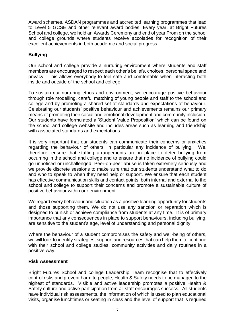Award schemes, ASDAN programmes and accredited learning programmes that lead to Level 5 GCSE and other relevant award bodies. Every year, at Bright Futures School and college, we hold an Awards Ceremony and end of year Prom on the school and college grounds where students receive accolades for recognition of their excellent achievements in both academic and social progress.

#### **Bullying**

Our school and college provide a nurturing environment where students and staff members are encouraged to respect each other's beliefs, choices, personal space and privacy. This allows everybody to feel safe and comfortable when interacting both inside and outside of the school and college.

To sustain our nurturing ethos and environment, we encourage positive behaviour through role modelling, careful matching of young people and staff to the school and college and by promoting a shared set of standards and expectations of behaviour. Celebrating our students' positive behaviour and achievements remains our primary means of promoting their social and emotional development and community inclusion. Our students have formulated a 'Student Value Proposition' which can be found on the school and college website and includes areas such as learning and friendship with associated standards and expectations.

It is very important that our students can communicate their concerns or anxieties regarding the behaviour of others, in particular any incidence of bullying. We, therefore, ensure that staffing arrangements are in place to deter bullying from occurring in the school and college and to ensure that no incidence of bullying could go unnoticed or unchallenged. Peer-on-peer abuse is taken extremely seriously and we provide discrete sessions to make sure that our students understand what to do and who to speak to when they need help or support. We ensure that each student has effective communication skills and contact points, both internal and external to the school and college to support their concerns and promote a sustainable culture of positive behaviour within our environment.

We regard every behaviour and situation as a positive learning opportunity for students and those supporting them. We do not use any sanction or reparation which is designed to punish or achieve compliance from students at any time. It is of primary importance that any consequences in place to support behaviours, including bullying, are sensitive to the student's age, level of understanding and personal dignity.

Where the behaviour of a student compromises the safety and well-being of others, we will look to identify strategies, support and resources that can help them to continue with their school and college studies, community activities and daily routines in a positive way.

#### **Risk Assessment**

Bright Futures School and college Leadership Team recognise that to effectively control risks and prevent harm to people, Health & Safety needs to be managed to the highest of standards. Visible and active leadership promotes a positive Health & Safety culture and active participation from all staff encourages success. All students have individual risk assessments, the information of which is used to plan educational visits, organise lunchtimes or seating in class and the level of support that is required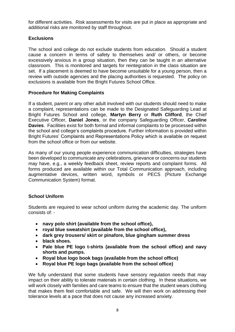for different activities. Risk assessments for visits are put in place as appropriate and additional risks are monitored by staff throughout.

#### **Exclusions**

The school and college do not exclude students from education. Should a student cause a concern in terms of safety to themselves and/ or others, or become excessively anxious in a group situation, then they can be taught in an alternative classroom. This is monitored and targets for reintegration in the class situation are set. If a placement is deemed to have become unsuitable for a young person, then a review with outside agencies and the placing authorities is requested. The policy on exclusions is available from the Bright Futures School Office.

#### **Procedure for Making Complaints**

If a student, parent or any other adult involved with our students should need to make a complaint, representations can be made to the Designated Safeguarding Lead at Bright Futures School and college, **Martyn Berry** or **Ruth Clifford**, the Chief Executive Officer, **Daniel Jones**, or the company Safeguarding Officer, **Caroline Davies**. Facilities exist for both formal and informal complaints to be processed within the school and college's complaints procedure. Further information is provided within Bright Futures' Complaints and Representations Policy which is available on request from the school office or from our website.

As many of our young people experience communication difficulties, strategies have been developed to communicate any celebrations, grievance or concerns our students may have, e.g., a weekly feedback sheet, review reports and complaint forms. All forms produced are available within our Total Communication approach, including augmentative devices, written word, symbols or PECS (Picture Exchange Communication System) format.

#### **School Uniform**

Students are required to wear school uniform during the academic day. The uniform consists of: -

- **navy polo shirt (available from the school office),**
- **royal blue sweatshirt (available from the school office),**
- **dark grey trousers/ skirt or pinafore, blue gingham summer dress**
- **black shoes.**
- **Pale blue PE logo t-shirts (available from the school office) and navy shorts and pumps.**
- **Royal blue logo book bags (available from the school office)**
- **Royal blue PE logo bags (available from the school office)**

We fully understand that some students have sensory regulation needs that may impact on their ability to tolerate materials in certain clothing. In these situations, we will work closely with families and care teams to ensure that the student wears clothing that makes them feel comfortable and safe. We will then work on addressing their tolerance levels at a pace that does not cause any increased anxiety.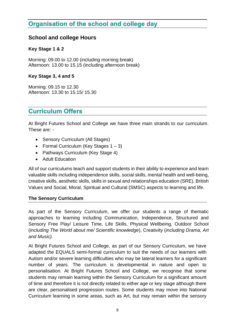# Organisation of the school and college day

#### **School and college Hours**

#### **Key Stage 1 & 2**

Morning: 09.00 to 12.00 (including morning break) Afternoon: 13.00 to 15.15 (including afternoon break)

#### **Key Stage 3, 4 and 5**

Morning: 09.15 to 12.30 Afternoon: 13.30 to 15.15/ 15.30

# **Curriculum Offers**

At Bright Futures School and College we have three main strands to our curriculum. These are: -

- Sensory Curriculum (All Stages)
- Formal Curriculum (Key Stages 1 3)
- Pathways Curriculum (Key Stage 4)
- Adult Education

All of our curriculums teach and support students in their ability to experience and learn valuable skills including independence skills, social skills, mental health and well-being, creative skills, aesthetic skills, skills in sexual and relationships education (SRE), British Values and Social, Moral, Spiritual and Cultural (SMSC) aspects to learning and life.

#### **The Sensory Curriculum**

As part of the Sensory Curriculum, we offer our students a range of thematic approaches to learning including Communication, Independence, Structured and Sensory Free Play/ Leisure Time, Life Skills, Physical Wellbeing, Outdoor School (*including The World about me/ Scientific knowledge*), Creativity (*including Drama, Art and Music).*

At Bright Futures School and College, as part of our Sensory Curriculum, we have adapted the EQUALS semi-formal curriculum to suit the needs of our learners with Autism and/or severe learning difficulties who may be lateral learners for a significant number of years. The curriculum is developmental in nature and open to personalisation. At Bright Futures School and College, we recognise that some students may remain learning within the Sensory Curriculum for a significant amount of time and therefore it is not directly related to either age or key stage although there are clear, personalised progression routes. Some students may move into National Curriculum learning in some areas, such as Art, but may remain within the sensory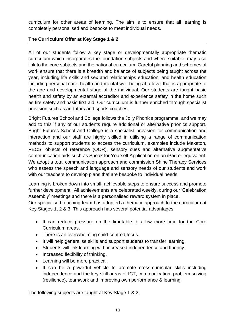curriculum for other areas of learning. The aim is to ensure that all learning is completely personalised and bespoke to meet individual needs.

#### **The Curriculum Offer at Key Stage 1 & 2**

All of our students follow a key stage or developmentally appropriate thematic curriculum which incorporates the foundation subjects and where suitable, may also link to the core subjects and the national curriculum. Careful planning and schemes of work ensure that there is a breadth and balance of subjects being taught across the year, including life skills and sex and relationships education, and health education including personal care, health and mental well-being at a level that is appropriate to the age and developmental stage of the individual. Our students are taught basic health and safety by an external accreditor and experience safety in the home such as fire safety and basic first aid. Our curriculum is further enriched through specialist provision such as art tutors and sports coaches.

Bright Futures School and College follows the Jolly Phonics programme, and we may add to this if any of our students require additional or alternative phonics support. Bright Futures School and College is a specialist provision for communication and interaction and our staff are highly skilled in utilising a range of communication methods to support students to access the curriculum, examples include Makaton, PECS, objects of reference (OOR), sensory cues and alternative augmentative communication aids such as Speak for Yourself Application on an iPad or equivalent. We adopt a total communication approach and commission Shine Therapy Services who assess the speech and language and sensory needs of our students and work with our teachers to develop plans that are bespoke to individual needs.

Learning is broken down into small, achievable steps to ensure success and promote further development. All achievements are celebrated weekly, during our 'Celebration Assembly' meetings and there is a personalised reward system in place.

Our specialised teaching team has adopted a thematic approach to the curriculum at Key Stages 1, 2 & 3. This approach has several potential advantages:

- It can reduce pressure on the timetable to allow more time for the Core Curriculum areas.
- There is an overwhelming child-centred focus.
- It will help generalise skills and support students to transfer learning.
- Students will link learning with increased independence and fluency.
- Increased flexibility of thinking.
- Learning will be more practical.
- It can be a powerful vehicle to promote cross-curricular skills including independence and the key skill areas of ICT, communication, problem solving (resilience), teamwork and improving own performance & learning.

The following subjects are taught at Key Stage 1 & 2: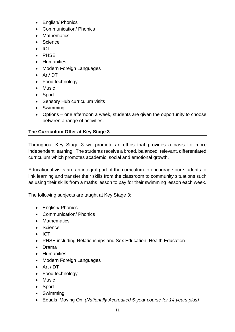- English/ Phonics
- Communication/ Phonics
- Mathematics
- Science
- ICT
- PHSE
- Humanities
- Modern Foreign Languages
- Art/ DT
- Food technology
- Music
- Sport
- Sensory Hub curriculum visits
- Swimming
- Options one afternoon a week, students are given the opportunity to choose between a range of activities.

#### **The Curriculum Offer at Key Stage 3**

Throughout Key Stage 3 we promote an ethos that provides a basis for more independent learning. The students receive a broad, balanced, relevant, differentiated curriculum which promotes academic, social and emotional growth.

Educational visits are an integral part of the curriculum to encourage our students to link learning and transfer their skills from the classroom to community situations such as using their skills from a maths lesson to pay for their swimming lesson each week.

The following subjects are taught at Key Stage 3:

- English/ Phonics
- Communication/ Phonics
- Mathematics
- Science
- ICT
- PHSE including Relationships and Sex Education, Health Education
- Drama
- Humanities
- Modern Foreign Languages
- Art / DT
- Food technology
- Music
- Sport
- Swimming
- Equals 'Moving On' *(Nationally Accredited 5-year course for 14 years plus)*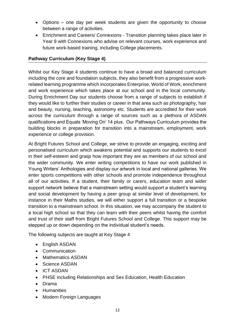- Options one day per week students are given the opportunity to choose between a range of activities.
- Enrichment and Careers/ Connexions Transition planning takes place later in Year 9 with Connexions who advise on relevant courses, work experience and future work-based training, including College placements.

#### **Pathway Curriculum (Key Stage 4)**

Whilst our Key Stage 4 students continue to have a broad and balanced curriculum including the core and foundation subjects, they also benefit from a progressive workrelated learning programme which incorporates Enterprise, World of Work, enrichment and work experience which takes place at our school and in the local community. During Enrichment Day our students choose from a range of subjects to establish if they would like to further their studies or career in that area such as photography, hair and beauty, nursing, teaching, astronomy etc. Students are accredited for their work across the curriculum through a range of sources such as a plethora of ASDAN qualifications and Equals 'Moving On' 14 plus. Our Pathways Curriculum provides the building blocks in preparation for transition into a mainstream, employment, work experience or college provision.

At Bright Futures School and College, we strive to provide an engaging, exciting and personalised curriculum which awakens potential and supports our students to excel in their self-esteem and grasp how important they are as members of our school and the wider community. We enter writing competitions to have our work published in Young Writers' Anthologies and display our artwork in local and national galleries. We enter sports competitions with other schools and promote independence throughout all of our activities. If a student, their family or carers, education team and wider support network believe that a mainstream setting would support a student's learning and social development by having a peer group at similar level of development, for instance in their Maths studies, we will either support a full transition or a bespoke transition to a mainstream school. In this situation, we may accompany the student to a local high school so that they can learn with their peers whilst having the comfort and trust of their staff from Bright Futures School and College. This support may be stepped up or down depending on the individual student's needs.

The following subjects are taught at Key Stage 4

- English ASDAN
- Communication
- Mathematics ASDAN
- Science ASDAN
- ICT ASDAN
- PHSE including Relationships and Sex Education, Health Education
- Drama
- Humanities
- Modern Foreign Languages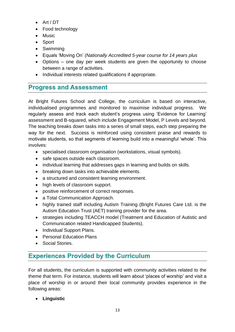- Art / DT
- Food technology
- Music
- Sport
- Swimming
- Equals 'Moving On' *(Nationally Accredited 5-year course for 14 years plus*
- Options one day per week students are given the opportunity to choose between a range of activities.
- Individual interests related qualifications if appropriate.

# **Progress and Assessment**

At Bright Futures School and College, the curriculum is based on interactive, individualised programmes and monitored to maximise individual progress. We regularly assess and track each student's progress using 'Evidence for Learning' assessment and B-squared, which include Engagement Model, P Levels and beyond. The teaching breaks down tasks into a series of small steps, each step preparing the way for the next. Success is reinforced using consistent praise and rewards to motivate students, so that segments of learning build into a meaningful 'whole'. This involves:

- specialised classroom organisation (workstations, visual symbols).
- safe spaces outside each classroom.
- individual learning that addresses gaps in learning and builds on skills.
- breaking down tasks into achievable elements.
- a structured and consistent learning environment.
- high levels of classroom support.
- positive reinforcement of correct responses.
- a Total Communication Approach.
- highly trained staff including Autism Training (Bright Futures Care Ltd. is the Autism Education Trust (AET) training provider for the area.
- strategies including TEACCH model (Treatment and Education of Autistic and Communication related Handicapped Students).
- Individual Support Plans.
- Personal Education Plans
- Social Stories.

# **Experiences Provided by the Curriculum**

For all students, the curriculum is supported with community activities related to the theme that term. For instance, students will learn about 'places of worship' and visit a place of worship in or around their local community provides experience in the following areas:

• **Linguistic**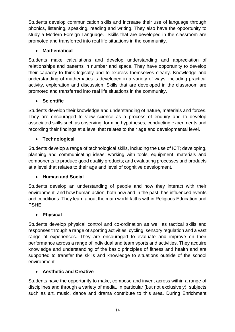Students develop communication skills and increase their use of language through phonics, listening, speaking, reading and writing. They also have the opportunity to study a Modern Foreign Language. Skills that are developed in the classroom are promoted and transferred into real life situations in the community.

#### • **Mathematical**

Students make calculations and develop understanding and appreciation of relationships and patterns in number and space. They have opportunity to develop their capacity to think logically and to express themselves clearly. Knowledge and understanding of mathematics is developed in a variety of ways, including practical activity, exploration and discussion. Skills that are developed in the classroom are promoted and transferred into real life situations in the community.

#### • **Scientific**

Students develop their knowledge and understanding of nature, materials and forces. They are encouraged to view science as a process of enquiry and to develop associated skills such as observing, forming hypotheses, conducting experiments and recording their findings at a level that relates to their age and developmental level.

#### • **Technological**

Students develop a range of technological skills, including the use of ICT; developing, planning and communicating ideas; working with tools, equipment, materials and components to produce good quality products; and evaluating processes and products at a level that relates to their age and level of cognitive development.

#### • **Human and Social**

Students develop an understanding of people and how they interact with their environment; and how human action, both now and in the past, has influenced events and conditions. They learn about the main world faiths within Religious Education and PSHE.

#### • **Physical**

Students develop physical control and co-ordination as well as tactical skills and responses through a range of sporting activities, cycling, sensory regulation and a vast range of experiences. They are encouraged to evaluate and improve on their performance across a range of individual and team sports and activities. They acquire knowledge and understanding of the basic principles of fitness and health and are supported to transfer the skills and knowledge to situations outside of the school environment.

#### • **Aesthetic and Creative**

Students have the opportunity to make, compose and invent across within a range of disciplines and through a variety of media. In particular (but not exclusively), subjects such as art, music, dance and drama contribute to this area. During Enrichment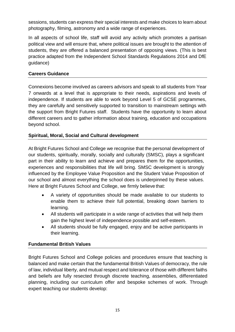sessions, students can express their special interests and make choices to learn about photography, filming, astronomy and a wide range of experiences.

In all aspects of school life, staff will avoid any activity which promotes a partisan political view and will ensure that, where political issues are brought to the attention of students, they are offered a balanced presentation of opposing views. (This is best practice adapted from the Independent School Standards Regulations 2014 and DfE guidance)

#### **Careers Guidance**

Connexions become involved as careers advisors and speak to all students from Year 7 onwards at a level that is appropriate to their needs, aspirations and levels of independence. If students are able to work beyond Level 5 of GCSE programmes, they are carefully and sensitively supported to transition to mainstream settings with the support from Bright Futures staff. Students have the opportunity to learn about different careers and to gather information about training, education and occupations beyond school.

#### **Spiritual, Moral, Social and Cultural development**

At Bright Futures School and College we recognise that the personal development of our students, spiritually, morally, socially and culturally (SMSC), plays a significant part in their ability to learn and achieve and prepares them for the opportunities, experiences and responsibilities that life will bring. SMSC development is strongly influenced by the Employee Value Proposition and the Student Value Proposition of our school and almost everything the school does is underpinned by these values. Here at Bright Futures School and College, we firmly believe that:

- A variety of opportunities should be made available to our students to enable them to achieve their full potential, breaking down barriers to learning.
- All students will participate in a wide range of activities that will help them gain the highest level of independence possible and self-esteem.
- All students should be fully engaged, enjoy and be active participants in their learning.

#### **Fundamental British Values**

Bright Futures School and College policies and procedures ensure that teaching is balanced and make certain that the fundamental British Values of democracy, the rule of law, individual liberty, and mutual respect and tolerance of those with different faiths and beliefs are fully resected through discrete teaching, assemblies, differentiated planning, including our curriculum offer and bespoke schemes of work. Through expert teaching our students develop: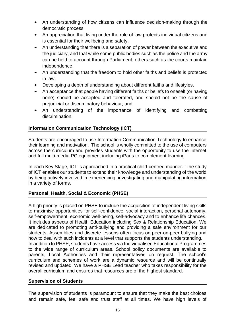- An understanding of how citizens can influence decision-making through the democratic process.
- An appreciation that living under the rule of law protects individual citizens and is essential for their wellbeing and safety.
- An understanding that there is a separation of power between the executive and the judiciary, and that while some public bodies such as the police and the army can be held to account through Parliament, others such as the courts maintain independence.
- An understanding that the freedom to hold other faiths and beliefs is protected in law.
- Developing a depth of understanding about different faiths and lifestyles.
- An acceptance that people having different faiths or beliefs to oneself (or having none) should be accepted and tolerated, and should not be the cause of prejudicial or discriminatory behaviour; and
- An understanding of the importance of identifying and combatting discrimination.

#### **Information Communication Technology (ICT)**

Students are encouraged to use Information Communication Technology to enhance their learning and motivation. The school is wholly committed to the use of computers across the curriculum and provides students with the opportunity to use the Internet and full multi-media PC equipment including iPads to complement learning.

In each Key Stage, ICT is approached in a practical child-centred manner. The study of ICT enables our students to extend their knowledge and understanding of the world by being actively involved in experiencing, investigating and manipulating information in a variety of forms.

#### **Personal, Health, Social & Economic (PHSE)**

A high priority is placed on PHSE to include the acquisition of independent living skills to maximise opportunities for self-confidence, social interaction, personal autonomy, self-empowerment, economic well-being, self-advocacy and to enhance life chances. It includes aspects of Health Education including Sex & Relationship Education. We are dedicated to promoting anti-bullying and providing a safe environment for our students. Assemblies and discrete lessons often focus on peer-on-peer bullying and how to deal with such incidents at a level that supports the students understanding. In addition to PHSE, students have access via Individualised Educational Programmes to the wide range of curriculum areas. School policy documents are available to parents, Local Authorities and their representatives on request. The school's curriculum and schemes of work are a dynamic resource and will be continually revised and updated. We have a PHSE Lead teacher who takes responsibility for the overall curriculum and ensures that resources are of the highest standard.

#### **Supervision of Students**

The supervision of students is paramount to ensure that they make the best choices and remain safe, feel safe and trust staff at all times. We have high levels of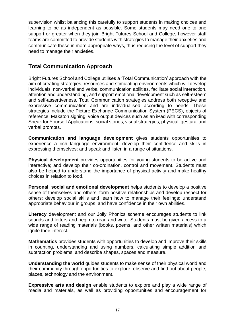supervision whilst balancing this carefully to support students in making choices and learning to be as independent as possible. Some students may need one to one support or greater when they join Bright Futures School and College, however staff teams are committed to provide students with strategies to manage their anxieties and communicate these in more appropriate ways, thus reducing the level of support they need to manage their anxieties.

### **Total Communication Approach**

Bright Futures School and College utilises a 'Total Communication' approach with the aim of creating strategies, resources and stimulating environments which will develop individuals' non-verbal and verbal communication abilities, facilitate social interaction, attention and understanding, and support emotional development such as self-esteem and self-assertiveness. Total Communication strategies address both receptive and expressive communication and are individualised according to needs. These strategies include the Picture Exchange Communication System (PECS), objects of reference, Makaton signing, voice output devices such as an iPad with corresponding Speak for Yourself Applications, social stories, visual strategies, physical, gestural and verbal prompts.

**Communication and language development** gives students opportunities to experience a rich language environment; develop their confidence and skills in expressing themselves; and speak and listen in a range of situations.

**Physical development** provides opportunities for young students to be active and interactive; and develop their co-ordination, control and movement. Students must also be helped to understand the importance of physical activity and make healthy choices in relation to food.

**Personal, social and emotional development** helps students to develop a positive sense of themselves and others; form positive relationships and develop respect for others; develop social skills and learn how to manage their feelings; understand appropriate behaviour in groups; and have confidence in their own abilities.

**Literacy** development and our Jolly Phonics scheme encourages students to link sounds and letters and begin to read and write. Students must be given access to a wide range of reading materials (books, poems, and other written materials) which ignite their interest.

**Mathematics** provides students with opportunities to develop and improve their skills in counting, understanding and using numbers, calculating simple addition and subtraction problems; and describe shapes, spaces and measure.

**Understanding the world** guides students to make sense of their physical world and their community through opportunities to explore, observe and find out about people, places, technology and the environment.

**Expressive arts and design** enable students to explore and play a wide range of media and materials, as well as providing opportunities and encouragement for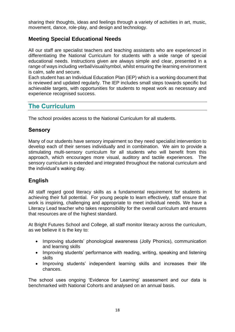sharing their thoughts, ideas and feelings through a variety of activities in art, music, movement, dance, role-play, and design and technology.

#### **Meeting Special Educational Needs**

All our staff are specialist teachers and teaching assistants who are experienced in differentiating the National Curriculum for students with a wide range of special educational needs. Instructions given are always simple and clear, presented in a range of ways including verbal/visual/symbol, whilst ensuring the learning environment is calm, safe and secure.

Each student has an Individual Education Plan (IEP) which is a working document that is reviewed and updated regularly. The IEP includes small steps towards specific but achievable targets, with opportunities for students to repeat work as necessary and experience recognised success.

# **The Curriculum**

The school provides access to the National Curriculum for all students.

## **Sensory**

Many of our students have sensory impairment so they need specialist intervention to develop each of their senses individually and in combination. We aim to provide a stimulating multi-sensory curriculum for all students who will benefit from this approach, which encourages more visual, auditory and tactile experiences. The sensory curriculum is extended and integrated throughout the national curriculum and the individual's waking day.

# **English**

All staff regard good literacy skills as a fundamental requirement for students in achieving their full potential. For young people to learn effectively, staff ensure that work is inspiring, challenging and appropriate to meet individual needs. We have a Literacy Lead teacher who takes responsibility for the overall curriculum and ensures that resources are of the highest standard.

At Bright Futures School and College, all staff monitor literacy across the curriculum, as we believe it is the key to:

- Improving students' phonological awareness (Jolly Phonics), communication and learning skills
- Improving students' performance with reading, writing, speaking and listening skills
- Improving students' independent learning skills and increases their life chances.

The school uses ongoing 'Evidence for Learning' assessment and our data is benchmarked with National Cohorts and analysed on an annual basis.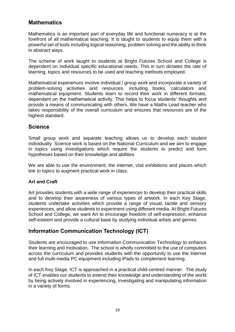# **Mathematics**

Mathematics is an important part of everyday life and functional numeracy is at the forefront of all mathematical teaching. It is taught to students to equip them with a powerful set of tools including logical reasoning, problem solving and the ability to think in abstract ways.

The scheme of work taught to students at Bright Futures School and College is dependent on individual specific educational needs. This in turn dictates the rate of learning, topics and resources to be used and teaching methods employed.

Mathematical experiences involve individual / group work and incorporate a variety of problem-solving activities and resources, including books, calculators and mathematical equipment. Students learn to record their work in different formats, dependant on the mathematical activity. This helps to focus students' thoughts and provide a means of communicating with others. We have a Maths Lead teacher who takes responsibility of the overall curriculum and ensures that resources are of the highest standard.

#### **Science**

Small group work and separate teaching allows us to develop each student individually. Science work is based on the National Curriculum and we aim to engage in topics using investigations which require the students to predict and form hypotheses based on their knowledge and abilities.

We are able to use the environment, the internet, visit exhibitions and places which link to topics to augment practical work in class.

#### **Art and Craft**

Art provides students with a wide range of experiences to develop their practical skills and to develop their awareness of various types of artwork. In each Key Stage, students undertake activities which provide a range of visual, tactile and sensory experiences, and allow students to experiment using different media. At Bright Futures School and College, we want Art to encourage freedom of self-expression, enhance self-esteem and provide a cultural base by studying individual artists and genres.

#### **Information Communication Technology (ICT)**

Students are encouraged to use Information Communication Technology to enhance their learning and motivation. The school is wholly committed to the use of computers across the curriculum and provides students with the opportunity to use the Internet and full multi-media PC equipment including iPads to complement learning.

In each Key Stage, ICT is approached in a practical child-centred manner. The study of ICT enables our students to extend their knowledge and understanding of the world by being actively involved in experiencing, investigating and manipulating information in a variety of forms.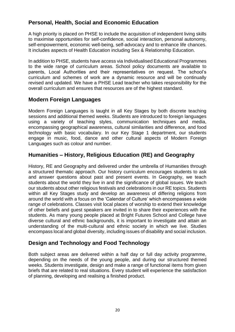# **Personal, Health, Social and Economic Education**

A high priority is placed on PHSE to include the acquisition of independent living skills to maximise opportunities for self-confidence, social interaction, personal autonomy, self-empowerment, economic well-being, self-advocacy and to enhance life chances. It includes aspects of Health Education including Sex & Relationship Education.

In addition to PHSE, students have access via Individualised Educational Programmes to the wide range of curriculum areas. School policy documents are available to parents, Local Authorities and their representatives on request. The school's curriculum and schemes of work are a dynamic resource and will be continually revised and updated. We have a PHSE Lead teacher who takes responsibility for the overall curriculum and ensures that resources are of the highest standard.

#### **Modern Foreign Languages**

Modern Foreign Languages is taught in all Key Stages by both discrete teaching sessions and additional themed weeks. Students are introduced to foreign languages using a variety of teaching styles, communication techniques and media, encompassing geographical awareness, cultural similarities and difference, and food technology with basic vocabulary. In our Key Stage 1 department, our students engage in music, food, dance and other cultural aspects of Modern Foreign Languages such as colour and number.

#### **Humanities – History, Religious Education (RE) and Geography**

History, RE and Geography and delivered under the umbrella of Humanities through a structured thematic approach. Our history curriculum encourages students to ask and answer questions about past and present events. In Geography, we teach students about the world they live in and the significance of global issues. We teach our students about other religious festivals and celebrations in our RE topics. Students within all Key Stages study and develop an awareness of differing religions from around the world with a focus on the 'Calendar of Culture' which encompasses a wide range of celebrations. Classes visit local places of worship to extend their knowledge of other beliefs and guest speakers are invited in to share their experiences with the students. As many young people placed at Bright Futures School and College have diverse cultural and ethnic backgrounds, it is important to investigate and attain an understanding of the multi-cultural and ethnic society in which we live. Studies encompass local and global diversity, including issues of disability and social inclusion.

#### **Design and Technology and Food Technology**

Both subject areas are delivered within a half day or full day activity programme, depending on the needs of the young people, and during our structured themed weeks. Students investigate, design and make a range of functional items from given briefs that are related to real situations. Every student will experience the satisfaction of planning, developing and realising a finished product.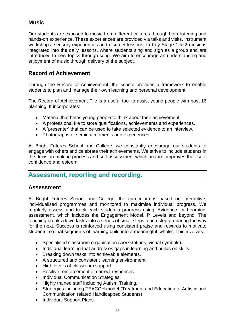# **Music**

Our students are exposed to music from different cultures through both listening and hands-on experience. These experiences are provided via talks and visits, instrument workshops, sensory experiences and discreet lessons. In Key Stage 1 & 2 music is integrated into the daily lessons, where students sing and sign as a group and are introduced to new topics through song. We aim to encourage an understanding and enjoyment of music through delivery of the subject.

### **Record of Achievement**

Through the Record of Achievement, the school provides a framework to enable students to plan and manage their own learning and personal development.

The Record of Achievement File is a useful tool to assist young people with post 16 planning. It incorporates:

- Material that helps young people to think about their achievement
- A professional file to store qualifications, achievements and experiences.
- A 'presenter' that can be used to take selected evidence to an interview.
- Photographs of seminal moments and experiences.

At Bright Futures School and College, we constantly encourage out students to engage with others and celebrate their achievements. We strive to include students in the decision-making process and self-assessment which, in turn, improves their selfconfidence and esteem.

# **Assessment, reporting and recording.**

#### **Assessment**

At Bright Futures School and College, the curriculum is based on interactive, individualised programmes and monitored to maximise individual progress. We regularly assess and track each student's progress using 'Evidence for Learning' assessment, which includes the Engagement Model, P Levels and beyond. The teaching breaks down tasks into a series of small steps, each step preparing the way for the next. Success is reinforced using consistent praise and rewards to motivate students, so that segments of learning build into a meaningful 'whole'. This involves:

- Specialised classroom organisation (workstations, visual symbols).
- Individual learning that addresses gaps in learning and builds on skills.
- Breaking down tasks into achievable elements.
- A structured and consistent learning environment.
- High levels of classroom support.
- Positive reinforcement of correct responses.
- Individual Communication Strategies.
- Highly trained staff including Autism Training.
- Strategies including TEACCH model (Treatment and Education of Autistic and Communication related Handicapped Students)
- Individual Support Plans.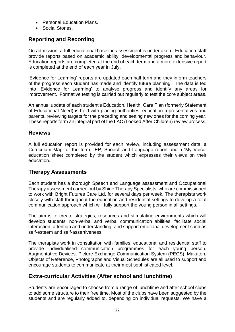- Personal Education Plans.
- Social Stories.

# **Reporting and Recording**

On admission, a full educational baseline assessment is undertaken. Education staff provide reports based on academic ability, developmental progress and behaviour. Education reports are completed at the end of each term and a more extensive report is completed at the end of each year in July.

'Evidence for Learning' reports are updated each half term and they inform teachers of the progress each student has made and identify future planning. The data is fed into 'Evidence for Learning' to analyse progress and identify any areas for improvement. Formative testing is carried out regularly to test the core subject areas.

An annual update of each student's Education, Health, Care Plan (formerly Statement of Educational Need) is held with placing authorities, education representatives and parents, reviewing targets for the preceding and setting new ones for the coming year. These reports form an integral part of the LAC (Looked After Children) review process.

#### **Reviews**

A full education report is provided for each review, including assessment data, a Curriculum Map for the term, IEP, Speech and Language report and a 'My Voice' education sheet completed by the student which expresses their views on their education.

#### **Therapy Assessments**

Each student has a thorough Speech and Language assessment and Occupational Therapy assessment carried out by Shine Therapy Specialists, who are commissioned to work with Bright Futures Care Ltd. for several days per week. The therapists work closely with staff throughout the education and residential settings to develop a total communication approach which will fully support the young person in all settings.

The aim is to create strategies, resources and stimulating environments which will develop students' non-verbal and verbal communication abilities, facilitate social interaction, attention and understanding, and support emotional development such as self-esteem and self-assertiveness.

The therapists work in consultation with families, educational and residential staff to provide individualised communication programmes for each young person. Augmentative Devices, Picture Exchange Communication System (PECS), Makaton, Objects of Reference, Photographs and Visual Schedules are all used to support and encourage students to communicate at their most sophisticated level.

#### **Extra-curricular Activities (After school and lunchtime)**

Students are encouraged to choose from a range of lunchtime and after school clubs to add some structure to their free time. Most of the clubs have been suggested by the students and are regularly added to, depending on individual requests. We have a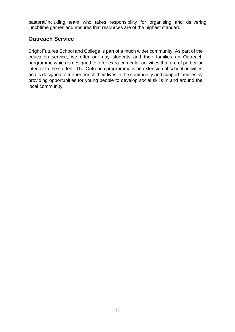pastoral/including team who takes responsibility for organising and delivering lunchtime games and ensures that resources are of the highest standard.

### **Outreach Service**

Bright Futures School and College is part of a much wider community. As part of the education service, we offer our day students and their families an Outreach programme which is designed to offer extra-curricular activities that are of particular interest to the student. The Outreach programme is an extension of school activities and is designed to further enrich their lives in the community and support families by providing opportunities for young people to develop social skills in and around the local community.